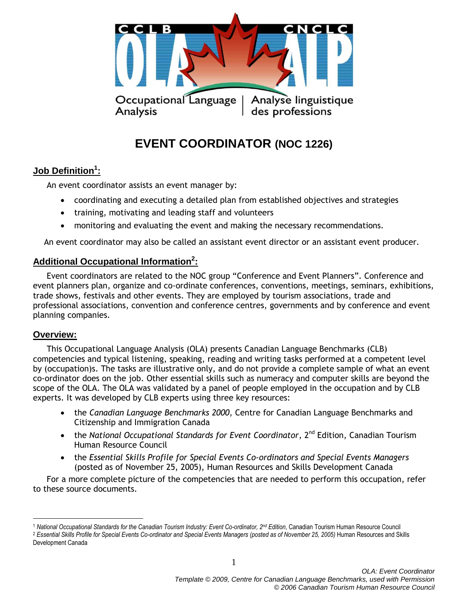

# **EVENT COORDINATOR (NOC 1226)**

# **Job Definition<sup>1</sup> :**

An event coordinator assists an event manager by:

- coordinating and executing a detailed plan from established objectives and strategies
- training, motivating and leading staff and volunteers
- monitoring and evaluating the event and making the necessary recommendations.

An event coordinator may also be called an assistant event director or an assistant event producer.

# **Additional Occupational Information<sup>2</sup> :**

Event coordinators are related to the NOC group "Conference and Event Planners". Conference and event planners plan, organize and co-ordinate conferences, conventions, meetings, seminars, exhibitions, trade shows, festivals and other events. They are employed by tourism associations, trade and professional associations, convention and conference centres, governments and by conference and event planning companies.

## **Overview:**

 $\overline{a}$ 

This Occupational Language Analysis (OLA) presents Canadian Language Benchmarks (CLB) competencies and typical listening, speaking, reading and writing tasks performed at a competent level by (occupation)s. The tasks are illustrative only, and do not provide a complete sample of what an event co-ordinator does on the job. Other essential skills such as numeracy and computer skills are beyond the scope of the OLA. The OLA was validated by a panel of people employed in the occupation and by CLB experts. It was developed by CLB experts using three key resources:

- the *Canadian Language Benchmarks 2000*, Centre for Canadian Language Benchmarks and Citizenship and Immigration Canada
- the *National Occupational Standards for Event Coordinator*, 2<sup>nd</sup> Edition, Canadian Tourism Human Resource Council
- the *Essential Skills Profile for Special Events Co-ordinators and Special Events Managers* (posted as of November 25, 2005), Human Resources and Skills Development Canada

For a more complete picture of the competencies that are needed to perform this occupation, refer to these source documents.

<sup>1</sup> *National Occupational Standards for the Canadian Tourism Industry: Event Co-ordinator, 2nd Edition*, Canadian Tourism Human Resource Council <sup>2</sup> Essential Skills Profile for Special Events Co-ordinator and Special Events Managers (posted as of November 25, 2005) Human Resources and Skills Development Canada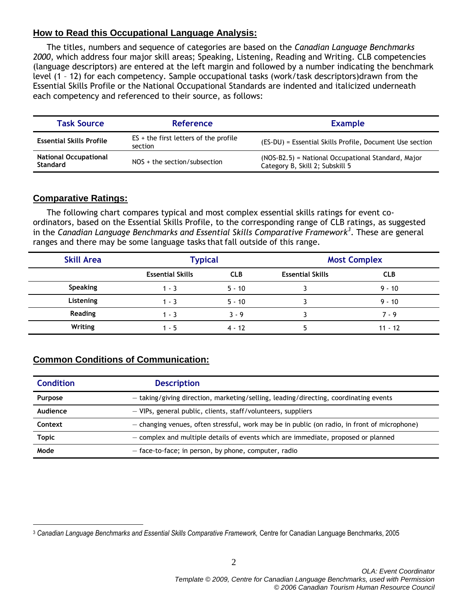# **How to Read this Occupational Language Analysis:**

The titles, numbers and sequence of categories are based on the *Canadian Language Benchmarks 2000*, which address four major skill areas; Speaking, Listening, Reading and Writing. CLB competencies (language descriptors) are entered at the left margin and followed by a number indicating the benchmark level (1 – 12) for each competency. Sample occupational tasks (work/task descriptors)drawn from the Essential Skills Profile or the National Occupational Standards are indented and italicized underneath each competency and referenced to their source, as follows:

| <b>Task Source</b>                              | <b>Reference</b>                                   | <b>Example</b>                                                                        |  |
|-------------------------------------------------|----------------------------------------------------|---------------------------------------------------------------------------------------|--|
| <b>Essential Skills Profile</b>                 | $ES +$ the first letters of the profile<br>section | (ES-DU) = Essential Skills Profile, Document Use section                              |  |
| <b>National Occupational</b><br><b>Standard</b> | $NOS + the section/subsection$                     | (NOS-B2.5) = National Occupational Standard, Major<br>Category B, Skill 2; Subskill 5 |  |

# **Comparative Ratings:**

 $\overline{a}$ 

The following chart compares typical and most complex essential skills ratings for event coordinators, based on the Essential Skills Profile, to the corresponding range of CLB ratings, as suggested in the *Canadian Language Benchmarks and Essential Skills Comparative Framework<sup>3</sup>* . These are general ranges and there may be some language tasks that fall outside of this range.

| <b>Skill Area</b> | <b>Typical</b>          |            | <b>Most Complex</b>     |            |
|-------------------|-------------------------|------------|-------------------------|------------|
|                   | <b>Essential Skills</b> | <b>CLB</b> | <b>Essential Skills</b> | <b>CLB</b> |
| <b>Speaking</b>   | l - 3                   | $5 - 10$   |                         | $9 - 10$   |
| Listening         | 1 - 3                   | $5 - 10$   |                         | $9 - 10$   |
| <b>Reading</b>    | 1 - 3                   | $3 - 9$    |                         | $7 - 9$    |
| Writing           | - 5                     | $4 - 12$   |                         | $11 - 12$  |

# **Common Conditions of Communication:**

| <b>Condition</b> | <b>Description</b>                                                                           |
|------------------|----------------------------------------------------------------------------------------------|
| Purpose          | - taking/giving direction, marketing/selling, leading/directing, coordinating events         |
| Audience         | - VIPs, general public, clients, staff/volunteers, suppliers                                 |
| Context          | - changing venues, often stressful, work may be in public (on radio, in front of microphone) |
| <b>Topic</b>     | - complex and multiple details of events which are immediate, proposed or planned            |
| Mode             | - face-to-face; in person, by phone, computer, radio                                         |

<sup>3</sup> *Canadian Language Benchmarks and Essential Skills Comparative Framework,* Centre for Canadian Language Benchmarks, 2005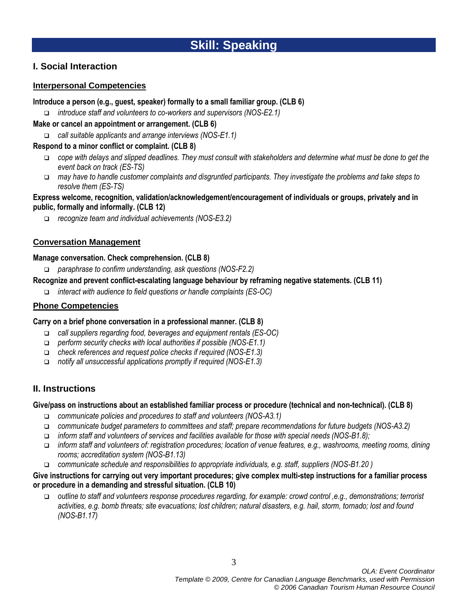# **I. Social Interaction**

# **Interpersonal Competencies**

## **Introduce a person (e.g., guest, speaker) formally to a small familiar group. (CLB 6)**

*introduce staff and volunteers to co-workers and supervisors (NOS-E2.1)*

**Make or cancel an appointment or arrangement. (CLB 6)**

*call suitable applicants and arrange interviews (NOS-E1.1)*

**Respond to a minor conflict or complaint. (CLB 8)**

- *cope with delays and slipped deadlines. They must consult with stakeholders and determine what must be done to get the event back on track (ES-TS)*
- *may have to handle customer complaints and disgruntled participants. They investigate the problems and take steps to resolve them (ES-TS)*

### **Express welcome, recognition, validation/acknowledgement/encouragement of individuals or groups, privately and in public, formally and informally. (CLB 12)**

*recognize team and individual achievements (NOS-E3.2)*

## **Conversation Management**

### **Manage conversation. Check comprehension. (CLB 8)**

*paraphrase to confirm understanding, ask questions (NOS-F2.2)*

## **Recognize and prevent conflict-escalating language behaviour by reframing negative statements. (CLB 11)**

*interact with audience to field questions or handle complaints (ES-OC)* 

# **Phone Competencies**

## **Carry on a brief phone conversation in a professional manner. (CLB 8)**

- *call suppliers regarding food, beverages and equipment rentals (ES-OC)*
- *perform security checks with local authorities if possible (NOS-E1.1)*
- *check references and request police checks if required (NOS-E1.3)*
- *notify all unsuccessful applications promptly if required (NOS-E1.3)*

# **II. Instructions**

## **Give/pass on instructions about an established familiar process or procedure (technical and non-technical). (CLB 8)**

- *communicate policies and procedures to staff and volunteers (NOS-A3.1)*
- *communicate budget parameters to committees and staff; prepare recommendations for future budgets (NOS-A3.2)*
- *inform staff and volunteers of services and facilities available for those with special needs (NOS-B1.8);*
- *inform staff and volunteers of: registration procedures; location of venue features, e.g., washrooms, meeting rooms, dining rooms; accreditation system (NOS-B1.13)*
- *communicate schedule and responsibilities to appropriate individuals, e.g. staff, suppliers (NOS-B1.20 )*

## **Give instructions for carrying out very important procedures; give complex multi-step instructions for a familiar process or procedure in a demanding and stressful situation. (CLB 10)**

 *outline to staff and volunteers response procedures regarding, for example: crowd control ,e.g., demonstrations; terrorist activities, e.g. bomb threats; site evacuations; lost children; natural disasters, e.g. hail, storm, tornado; lost and found (NOS-B1.17)*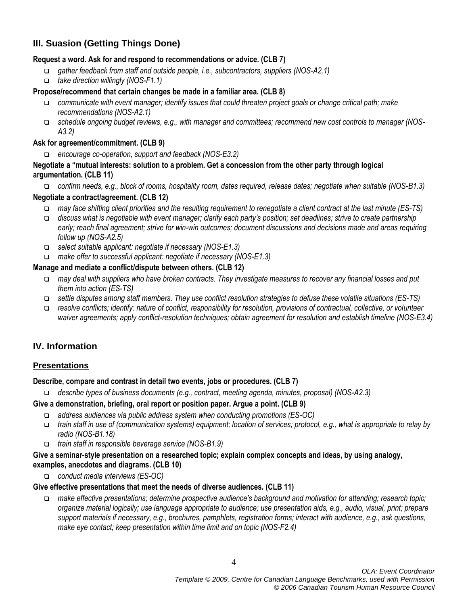# **III. Suasion (Getting Things Done)**

## **Request a word. Ask for and respond to recommendations or advice. (CLB 7)**

- *gather feedback from staff and outside people, i.e., subcontractors, suppliers (NOS-A2.1)*
- *take direction willingly (NOS-F1.1)*

## **Propose/recommend that certain changes be made in a familiar area. (CLB 8)**

- *communicate with event manager; identify issues that could threaten project goals or change critical path; make recommendations (NOS-A2.1)*
- *schedule ongoing budget reviews, e.g., with manager and committees; recommend new cost controls to manager (NOS-A3.2)*

### **Ask for agreement/commitment. (CLB 9)**

*encourage co-operation, support and feedback (NOS-E3.2)*

### **Negotiate a "mutual interests: solution to a problem. Get a concession from the other party through logical argumentation. (CLB 11)**

 *confirm needs, e.g., block of rooms, hospitality room, dates required, release dates; negotiate when suitable (NOS-B1.3)* **Negotiate a contract/agreement. (CLB 12)**

- *may face shifting client priorities and the resulting requirement to renegotiate a client contract at the last minute (ES-TS)*
- *discuss what is negotiable with event manager; clarify each party's position; set deadlines; strive to create partnership early; reach final agreement; strive for win-win outcomes; document discussions and decisions made and areas requiring follow up (NOS-A2.5)*
- *select suitable applicant: negotiate if necessary (NOS-E1.3)*
- *make offer to successful applicant: negotiate if necessary (NOS-E1.3)*

### **Manage and mediate a conflict/dispute between others. (CLB 12)**

- *may deal with suppliers who have broken contracts. They investigate measures to recover any financial losses and put them into action (ES-TS)*
- *settle disputes among staff members. They use conflict resolution strategies to defuse these volatile situations (ES-TS)*
- *resolve conflicts; identify: nature of conflict, responsibility for resolution, provisions of contractual, collective, or volunteer waiver agreements; apply conflict-resolution techniques; obtain agreement for resolution and establish timeline (NOS-E3.4)*

# **IV. Information**

## **Presentations**

#### **Describe, compare and contrast in detail two events, jobs or procedures. (CLB 7)**

*describe types of business documents (e.g., contract, meeting agenda, minutes, proposal) (NOS-A2.3)*

#### **Give a demonstration, briefing, oral report or position paper. Argue a point. (CLB 9)**

- *address audiences via public address system when conducting promotions (ES-OC)*
- *train staff in use of (communication systems) equipment; location of services; protocol, e.g., what is appropriate to relay by radio (NOS-B1.18)*
- *train staff in responsible beverage service (NOS-B1.9)*

#### **Give a seminar-style presentation on a researched topic; explain complex concepts and ideas, by using analogy, examples, anecdotes and diagrams. (CLB 10)**

*conduct media interviews (ES-OC)*

#### **Give effective presentations that meet the needs of diverse audiences. (CLB 11)**

 *make effective presentations; determine prospective audience's background and motivation for attending; research topic; organize material logically; use language appropriate to audience; use presentation aids, e.g., audio, visual, print; prepare support materials if necessary, e.g., brochures, pamphlets, registration forms; interact with audience, e.g., ask questions, make eye contact; keep presentation within time limit and on topic (NOS-F2.4)*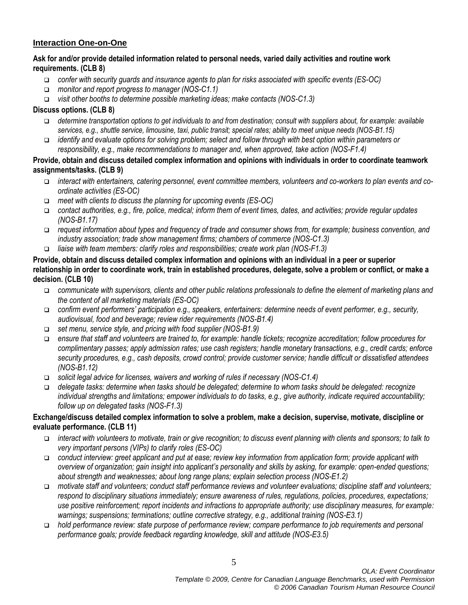# **Interaction One-on-One**

## **Ask for and/or provide detailed information related to personal needs, varied daily activities and routine work requirements. (CLB 8)**

- *confer with security guards and insurance agents to plan for risks associated with specific events (ES-OC)*
- *monitor and report progress to manager (NOS-C1.1)*
- *visit other booths to determine possible marketing ideas; make contacts (NOS-C1.3)*

## **Discuss options. (CLB 8)**

- *determine transportation options to get individuals to and from destination; consult with suppliers about, for example: available services, e.g., shuttle service, limousine, taxi, public transit; special rates; ability to meet unique needs (NOS-B1.15)*
- *identify and evaluate options for solving problem; select and follow through with best option within parameters or responsibility, e.g., make recommendations to manager and, when approved, take action (NOS-F1.4)*

### **Provide, obtain and discuss detailed complex information and opinions with individuals in order to coordinate teamwork assignments/tasks. (CLB 9)**

- *interact with entertainers, catering personnel, event committee members, volunteers and co-workers to plan events and coordinate activities (ES-OC)*
- *meet with clients to discuss the planning for upcoming events (ES-OC)*
- *contact authorities, e.g., fire, police, medical; inform them of event times, dates, and activities; provide regular updates (NOS-B1.17)*
- *request information about types and frequency of trade and consumer shows from, for example; business convention, and industry association; trade show management firms; chambers of commerce (NOS-C1.3)*
- *liaise with team members: clarify roles and responsibilities; create work plan (NOS-F1.3)*

### **Provide, obtain and discuss detailed complex information and opinions with an individual in a peer or superior relationship in order to coordinate work, train in established procedures, delegate, solve a problem or conflict, or make a decision. (CLB 10)**

- *communicate with supervisors, clients and other public relations professionals to define the element of marketing plans and the content of all marketing materials (ES-OC)*
- *confirm event performers' participation e.g., speakers, entertainers: determine needs of event performer, e.g., security, audiovisual, food and beverage; review rider requirements (NOS-B1.4)*
- *set menu, service style, and pricing with food supplier (NOS-B1.9)*
- *ensure that staff and volunteers are trained to, for example: handle tickets; recognize accreditation; follow procedures for complimentary passes; apply admission rates; use cash registers; handle monetary transactions, e.g., credit cards; enforce security procedures, e.g., cash deposits, crowd control; provide customer service; handle difficult or dissatisfied attendees (NOS-B1.12)*
- *solicit legal advice for licenses, waivers and working of rules if necessary (NOS-C1.4)*
- *delegate tasks: determine when tasks should be delegated; determine to whom tasks should be delegated: recognize individual strengths and limitations; empower individuals to do tasks, e.g., give authority, indicate required accountability; follow up on delegated tasks (NOS-F1.3)*

## **Exchange/discuss detailed complex information to solve a problem, make a decision, supervise, motivate, discipline or evaluate performance. (CLB 11)**

- *interact with volunteers to motivate, train or give recognition; to discuss event planning with clients and sponsors; to talk to very important persons (VIPs) to clarify roles (ES-OC)*
- *conduct interview: greet applicant and put at ease; review key information from application form; provide applicant with overview of organization; gain insight into applicant's personality and skills by asking, for example: open-ended questions; about strength and weaknesses; about long range plans; explain selection process (NOS-E1.2)*
- *motivate staff and volunteers; conduct staff performance reviews and volunteer evaluations; discipline staff and volunteers; respond to disciplinary situations immediately; ensure awareness of rules, regulations, policies, procedures, expectations; use positive reinforcement; report incidents and infractions to appropriate authority; use disciplinary measures, for example: warnings; suspensions; terminations; outline corrective strategy, e.g., additional training (NOS-E3.1)*
- *hold performance review: state purpose of performance review; compare performance to job requirements and personal performance goals; provide feedback regarding knowledge, skill and attitude (NOS-E3.5)*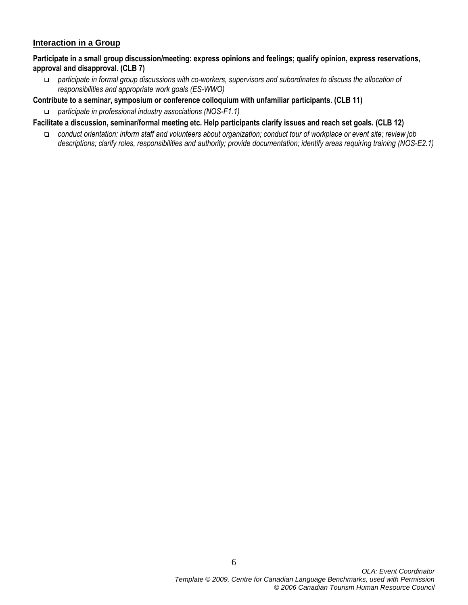### **Interaction in a Group**

**Participate in a small group discussion/meeting: express opinions and feelings; qualify opinion, express reservations, approval and disapproval. (CLB 7)**

 *participate in formal group discussions with co-workers, supervisors and subordinates to discuss the allocation of responsibilities and appropriate work goals (ES-WWO)*

#### **Contribute to a seminar, symposium or conference colloquium with unfamiliar participants. (CLB 11)**

*participate in professional industry associations (NOS-F1.1)*

- **Facilitate a discussion, seminar/formal meeting etc. Help participants clarify issues and reach set goals. (CLB 12)**
	- *conduct orientation: inform staff and volunteers about organization; conduct tour of workplace or event site; review job descriptions; clarify roles, responsibilities and authority; provide documentation; identify areas requiring training (NOS-E2.1)*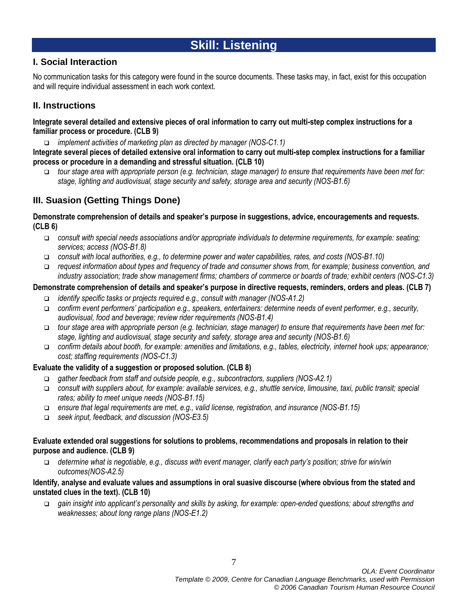# **Skill: Listening**

# **I. Social Interaction**

No communication tasks for this category were found in the source documents. These tasks may, in fact, exist for this occupation and will require individual assessment in each work context.

# **II. Instructions**

**Integrate several detailed and extensive pieces of oral information to carry out multi-step complex instructions for a familiar process or procedure. (CLB 9)**

*implement activities of marketing plan as directed by manager (NOS-C1.1)*

**Integrate several pieces of detailed extensive oral information to carry out multi-step complex instructions for a familiar process or procedure in a demanding and stressful situation. (CLB 10)**

 *tour stage area with appropriate person (e.g. technician, stage manager) to ensure that requirements have been met for: stage, lighting and audiovisual, stage security and safety, storage area and security (NOS-B1.6)*

# **III. Suasion (Getting Things Done)**

**Demonstrate comprehension of details and speaker's purpose in suggestions, advice, encouragements and requests. (CLB 6)**

- *consult with special needs associations and/or appropriate individuals to determine requirements, for example: seating; services; access (NOS-B1.8)*
- *consult with local authorities, e.g., to determine power and water capabilities, rates, and costs (NOS-B1.10)*
- *request information about types and frequency of trade and consumer shows from, for example; business convention, and industry association; trade show management firms; chambers of commerce or boards of trade; exhibit centers (NOS-C1.3)*

# **Demonstrate comprehension of details and speaker's purpose in directive requests, reminders, orders and pleas. (CLB 7)**

- *identify specific tasks or projects required e.g., consult with manager (NOS-A1.2)*
- *confirm event performers' participation e.g., speakers, entertainers: determine needs of event performer, e.g., security, audiovisual, food and beverage; review rider requirements (NOS-B1.4)*
- *tour stage area with appropriate person (e.g. technician, stage manager) to ensure that requirements have been met for: stage, lighting and audiovisual, stage security and safety, storage area and security (NOS-B1.6)*
- *confirm details about booth, for example: amenities and limitations, e.g., tables, electricity, internet hook ups; appearance; cost; staffing requirements (NOS-C1.3)*

# **Evaluate the validity of a suggestion or proposed solution. (CLB 8)**

- *gather feedback from staff and outside people, e.g., subcontractors, suppliers (NOS-A2.1)*
- *consult with suppliers about, for example: available services, e.g., shuttle service, limousine, taxi, public transit; special rates; ability to meet unique needs (NOS-B1.15)*
- *ensure that legal requirements are met, e.g., valid license, registration, and insurance (NOS-B1.15)*
- *seek input, feedback, and discussion (NOS-E3.5)*

### **Evaluate extended oral suggestions for solutions to problems, recommendations and proposals in relation to their purpose and audience. (CLB 9)**

 *determine what is negotiable, e.g., discuss with event manager, clarify each party's position; strive for win/win outcomes(NOS-A2.5)*

### **Identify, analyse and evaluate values and assumptions in oral suasive discourse (where obvious from the stated and unstated clues in the text). (CLB 10)**

 *gain insight into applicant's personality and skills by asking, for example: open-ended questions; about strengths and weaknesses; about long range plans (NOS-E1.2)*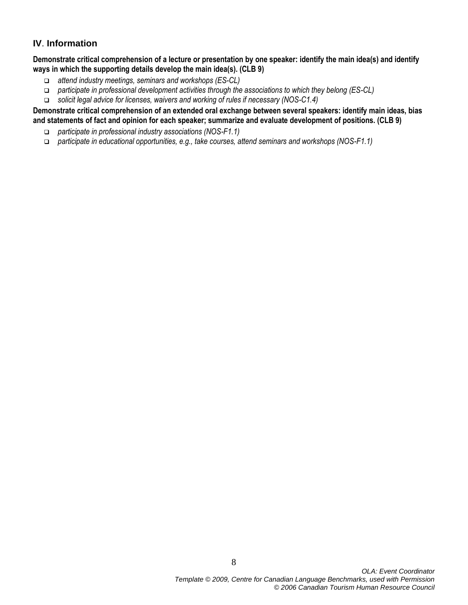# **IV**. **Information**

**Demonstrate critical comprehension of a lecture or presentation by one speaker: identify the main idea(s) and identify ways in which the supporting details develop the main idea(s). (CLB 9)**

- *attend industry meetings, seminars and workshops (ES-CL)*
- *participate in professional development activities through the associations to which they belong (ES-CL)*
- *solicit legal advice for licenses, waivers and working of rules if necessary (NOS-C1.4)*

**Demonstrate critical comprehension of an extended oral exchange between several speakers: identify main ideas, bias and statements of fact and opinion for each speaker; summarize and evaluate development of positions. (CLB 9)**

- *participate in professional industry associations (NOS-F1.1)*
- *participate in educational opportunities, e.g., take courses, attend seminars and workshops (NOS-F1.1)*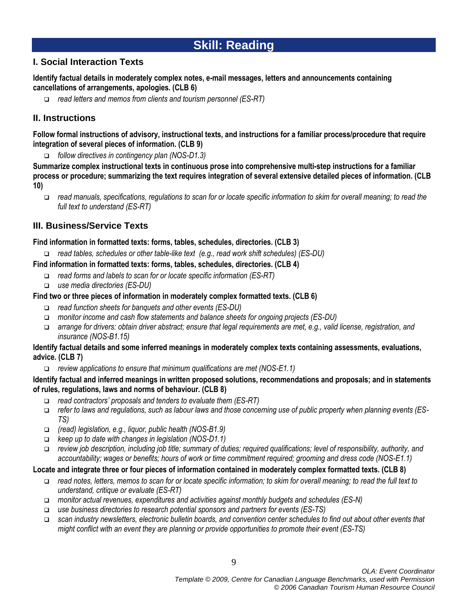# **Skill: Reading**

# **I. Social Interaction Texts**

**Identify factual details in moderately complex notes, e-mail messages, letters and announcements containing cancellations of arrangements, apologies. (CLB 6)**

*read letters and memos from clients and tourism personnel (ES-RT)*

# **II. Instructions**

**Follow formal instructions of advisory, instructional texts, and instructions for a familiar process/procedure that require integration of several pieces of information. (CLB 9)**

*follow directives in contingency plan (NOS-D1.3)*

**Summarize complex instructional texts in continuous prose into comprehensive multi-step instructions for a familiar process or procedure; summarizing the text requires integration of several extensive detailed pieces of information. (CLB 10)**

 *read manuals, specifications, regulations to scan for or locate specific information to skim for overall meaning; to read the full text to understand (ES-RT)*

# **III. Business/Service Texts**

## **Find information in formatted texts: forms, tables, schedules, directories. (CLB 3)**

*read tables, schedules or other table-like text (e.g., read work shift schedules) (ES-DU)*

# **Find information in formatted texts: forms, tables, schedules, directories. (CLB 4)**

- *read forms and labels to scan for or locate specific information (ES-RT)*
- *use media directories (ES-DU)*

# **Find two or three pieces of information in moderately complex formatted texts. (CLB 6)**

- *read function sheets for banquets and other events (ES-DU)*
- *monitor income and cash flow statements and balance sheets for ongoing projects (ES-DU)*
- *arrange for drivers: obtain driver abstract; ensure that legal requirements are met, e.g., valid license, registration, and insurance (NOS-B1.15)*

### **Identify factual details and some inferred meanings in moderately complex texts containing assessments, evaluations, advice. (CLB 7)**

*review applications to ensure that minimum qualifications are met (NOS-E1.1)*

## **Identify factual and inferred meanings in written proposed solutions, recommendations and proposals; and in statements of rules, regulations, laws and norms of behaviour. (CLB 8)**

- *read contractors' proposals and tenders to evaluate them (ES-RT)*
- *refer to laws and regulations, such as labour laws and those concerning use of public property when planning events (ES-TS)*
- *(read) legislation, e.g., liquor, public health (NOS-B1.9)*
- *keep up to date with changes in legislation (NOS-D1.1)*
- *review job description, including job title; summary of duties; required qualifications; level of responsibility, authority, and accountability; wages or benefits; hours of work or time commitment required; grooming and dress code (NOS-E1.1)*

## **Locate and integrate three or four pieces of information contained in moderately complex formatted texts. (CLB 8)**

- *read notes, letters, memos to scan for or locate specific information; to skim for overall meaning; to read the full text to understand, critique or evaluate (ES-RT)*
- *monitor actual revenues, expenditures and activities against monthly budgets and schedules (ES-N)*
- *use business directories to research potential sponsors and partners for events (ES-TS)*
- *scan industry newsletters, electronic bulletin boards, and convention center schedules to find out about other events that might conflict with an event they are planning or provide opportunities to promote their event (ES-TS)*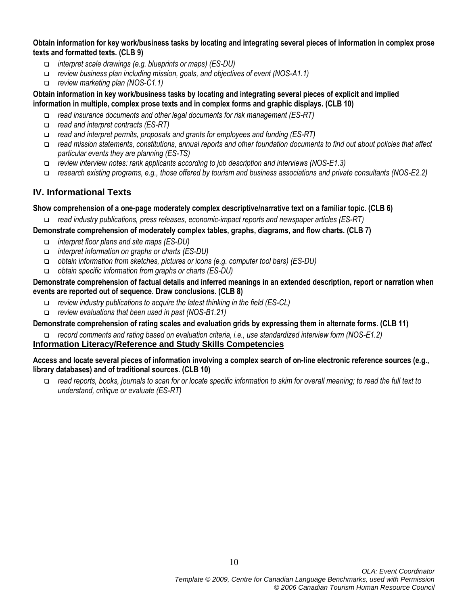**Obtain information for key work/business tasks by locating and integrating several pieces of information in complex prose texts and formatted texts. (CLB 9)**

- *interpret scale drawings (e.g. blueprints or maps) (ES-DU)*
- *review business plan including mission, goals, and objectives of event (NOS-A1.1)*
- *review marketing plan (NOS-C1.1)*

### **Obtain information in key work/business tasks by locating and integrating several pieces of explicit and implied information in multiple, complex prose texts and in complex forms and graphic displays. (CLB 10)**

- *read insurance documents and other legal documents for risk management (ES-RT)*
- *read and interpret contracts (ES-RT)*
- *read and interpret permits, proposals and grants for employees and funding (ES-RT)*
- *read mission statements, constitutions, annual reports and other foundation documents to find out about policies that affect particular events they are planning (ES-TS)*
- *review interview notes: rank applicants according to job description and interviews (NOS-E1.3)*
- *research existing programs, e.g., those offered by tourism and business associations and private consultants (NOS-E2.2)*

# **IV. Informational Texts**

### **Show comprehension of a one-page moderately complex descriptive/narrative text on a familiar topic. (CLB 6)**

*read industry publications, press releases, economic-impact reports and newspaper articles (ES-RT)*

### **Demonstrate comprehension of moderately complex tables, graphs, diagrams, and flow charts. (CLB 7)**

- *interpret floor plans and site maps (ES-DU)*
- *interpret information on graphs or charts (ES-DU)*
- *obtain information from sketches, pictures or icons (e.g. computer tool bars) (ES-DU)*
- *obtain specific information from graphs or charts (ES-DU)*

#### **Demonstrate comprehension of factual details and inferred meanings in an extended description, report or narration when events are reported out of sequence. Draw conclusions. (CLB 8)**

- *review industry publications to acquire the latest thinking in the field (ES-CL)*
- *review evaluations that been used in past (NOS-B1.21)*

## **Demonstrate comprehension of rating scales and evaluation grids by expressing them in alternate forms. (CLB 11)**

*record comments and rating based on evaluation criteria, i.e., use standardized interview form (NOS-E1.2)*

# **Information Literacy/Reference and Study Skills Competencies**

#### **Access and locate several pieces of information involving a complex search of on-line electronic reference sources (e.g., library databases) and of traditional sources. (CLB 10)**

 *read reports, books, journals to scan for or locate specific information to skim for overall meaning; to read the full text to understand, critique or evaluate (ES-RT)*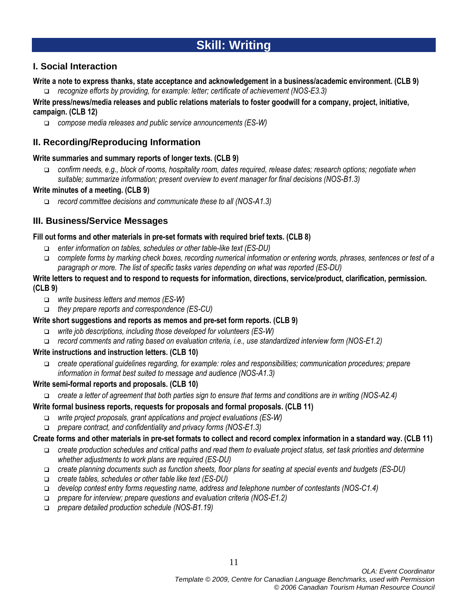# **Skill: Writing**

# **I. Social Interaction**

#### **Write a note to express thanks, state acceptance and acknowledgement in a business/academic environment. (CLB 9)**

*recognize efforts by providing, for example: letter; certificate of achievement (NOS-E3.3)*

### **Write press/news/media releases and public relations materials to foster goodwill for a company, project, initiative, campaign. (CLB 12)**

*compose media releases and public service announcements (ES-W)*

# **II. Recording/Reproducing Information**

## **Write summaries and summary reports of longer texts. (CLB 9)**

 *confirm needs, e.g., block of rooms, hospitality room, dates required, release dates; research options; negotiate when suitable; summarize information; present overview to event manager for final decisions (NOS-B1.3)*

# **Write minutes of a meeting. (CLB 9)**

*record committee decisions and communicate these to all (NOS-A1.3)*

# **III. Business/Service Messages**

## **Fill out forms and other materials in pre-set formats with required brief texts. (CLB 8)**

- *enter information on tables, schedules or other table-like text (ES-DU)*
- *complete forms by marking check boxes, recording numerical information or entering words, phrases, sentences or test of a paragraph or more. The list of specific tasks varies depending on what was reported (ES-DU)*

### **Write letters to request and to respond to requests for information, directions, service/product, clarification, permission. (CLB 9)**

- *write business letters and memos (ES-W)*
- *they prepare reports and correspondence (ES-CU)*

## **Write short suggestions and reports as memos and pre-set form reports. (CLB 9)**

- *write job descriptions, including those developed for volunteers (ES-W)*
- *record comments and rating based on evaluation criteria, i.e., use standardized interview form (NOS-E1.2)*

## **Write instructions and instruction letters. (CLB 10)**

 *create operational guidelines regarding, for example: roles and responsibilities; communication procedures; prepare information in format best suited to message and audience (NOS-A1.3)*

## **Write semi-formal reports and proposals. (CLB 10)**

*create a letter of agreement that both parties sign to ensure that terms and conditions are in writing (NOS-A2.4)*

# **Write formal business reports, requests for proposals and formal proposals. (CLB 11)**

- *write project proposals, grant applications and project evaluations (ES-W)*
- *prepare contract, and confidentiality and privacy forms (NOS-E1.3)*

# **Create forms and other materials in pre-set formats to collect and record complex information in a standard way. (CLB 11)**

- *create production schedules and critical paths and read them to evaluate project status, set task priorities and determine whether adjustments to work plans are required (ES-DU)*
- *create planning documents such as function sheets, floor plans for seating at special events and budgets (ES-DU)*
- *create tables, schedules or other table like text (ES-DU)*
- *develop contest entry forms requesting name, address and telephone number of contestants (NOS-C1.4)*
- *prepare for interview; prepare questions and evaluation criteria (NOS-E1.2)*
- *prepare detailed production schedule (NOS-B1.19)*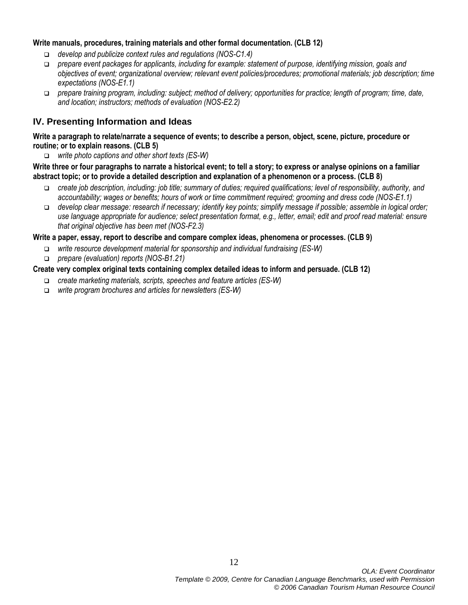### **Write manuals, procedures, training materials and other formal documentation. (CLB 12)**

- *develop and publicize context rules and regulations (NOS-C1.4)*
- *prepare event packages for applicants, including for example: statement of purpose, identifying mission, goals and objectives of event; organizational overview; relevant event policies/procedures; promotional materials; job description; time expectations (NOS-E1.1)*
- *prepare training program, including: subject; method of delivery; opportunities for practice; length of program; time, date, and location; instructors; methods of evaluation (NOS-E2.2)*

# **IV. Presenting Information and Ideas**

### **Write a paragraph to relate/narrate a sequence of events; to describe a person, object, scene, picture, procedure or routine; or to explain reasons. (CLB 5)**

*write photo captions and other short texts (ES-W)*

**Write three or four paragraphs to narrate a historical event; to tell a story; to express or analyse opinions on a familiar abstract topic; or to provide a detailed description and explanation of a phenomenon or a process. (CLB 8)**

- *create job description, including: job title; summary of duties; required qualifications; level of responsibility, authority, and accountability; wages or benefits; hours of work or time commitment required; grooming and dress code (NOS-E1.1)*
- *develop clear message: research if necessary; identify key points; simplify message if possible; assemble in logical order; use language appropriate for audience; select presentation format, e.g., letter, email; edit and proof read material: ensure that original objective has been met (NOS-F2.3)*

### **Write a paper, essay, report to describe and compare complex ideas, phenomena or processes. (CLB 9)**

- *write resource development material for sponsorship and individual fundraising (ES-W)*
- *prepare (evaluation) reports (NOS-B1.21)*

## **Create very complex original texts containing complex detailed ideas to inform and persuade. (CLB 12)**

- *create marketing materials, scripts, speeches and feature articles (ES-W)*
- *write program brochures and articles for newsletters (ES-W)*